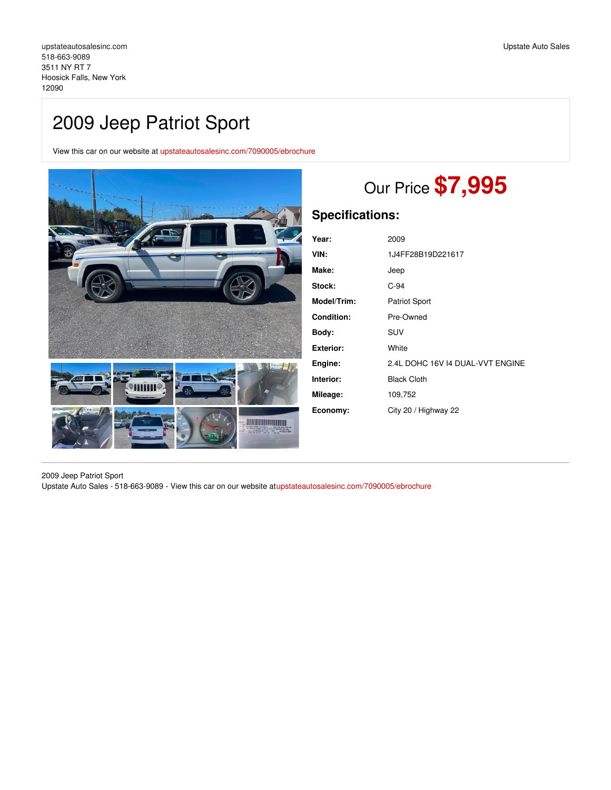# 2009 Jeep Patriot Sport

View this car on our website at [upstateautosalesinc.com/7090005/ebrochure](https://upstateautosalesinc.com/vehicle/7090005/2009-jeep-patriot-sport-hoosick-falls-new-york-12090/7090005/ebrochure)



# Our Price **\$7,995**

# **Specifications:**

| Year:             | 2009                             |
|-------------------|----------------------------------|
| VIN:              | 1J4FF28B19D221617                |
| Make:             | Jeep                             |
| Stock:            | $C-94$                           |
| Model/Trim:       | <b>Patriot Sport</b>             |
| <b>Condition:</b> | Pre-Owned                        |
| Body:             | SUV                              |
| Exterior:         | White                            |
| Engine:           | 2.4L DOHC 16V I4 DUAL-VVT ENGINE |
| Interior:         | <b>Black Cloth</b>               |
| Mileage:          | 109,752                          |
| Economy:          | City 20 / Highway 22             |

2009 Jeep Patriot Sport Upstate Auto Sales - 518-663-9089 - View this car on our website a[tupstateautosalesinc.com/7090005/ebrochure](https://upstateautosalesinc.com/vehicle/7090005/2009-jeep-patriot-sport-hoosick-falls-new-york-12090/7090005/ebrochure)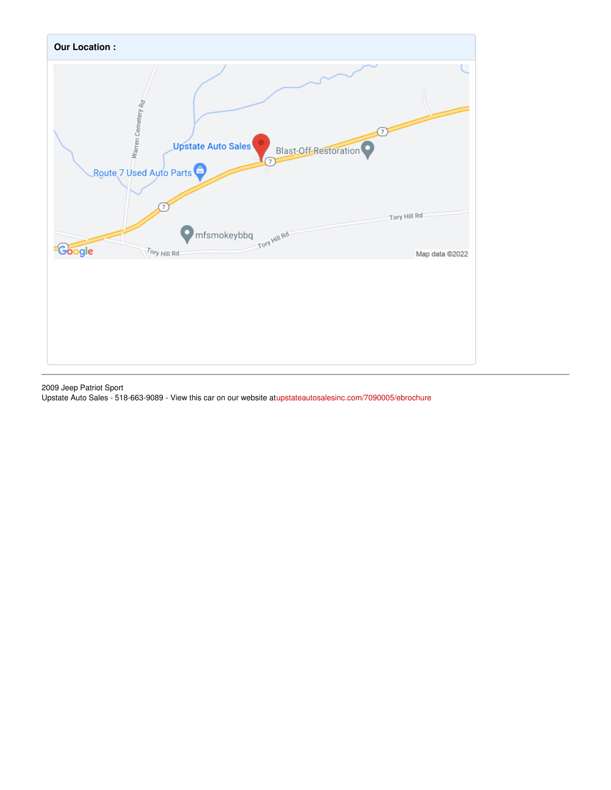

2009 Jeep Patriot Sport Upstate Auto Sales - 518-663-9089 - View this car on our website a[tupstateautosalesinc.com/7090005/ebrochure](https://upstateautosalesinc.com/vehicle/7090005/2009-jeep-patriot-sport-hoosick-falls-new-york-12090/7090005/ebrochure)